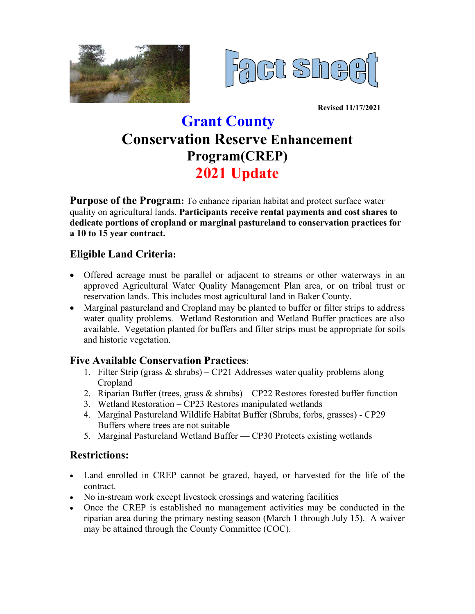



**Revised 11/17/2021**

# **Grant County Conservation Reserve Enhancement Program(CREP) 2021 Update**

**Purpose of the Program:** To enhance riparian habitat and protect surface water quality on agricultural lands. **Participants receive rental payments and cost shares to dedicate portions of cropland or marginal pastureland to conservation practices for a 10 to 15 year contract.**

## **Eligible Land Criteria:**

- Offered acreage must be parallel or adjacent to streams or other waterways in an approved Agricultural Water Quality Management Plan area, or on tribal trust or reservation lands. This includes most agricultural land in Baker County.
- Marginal pastureland and Cropland may be planted to buffer or filter strips to address water quality problems. Wetland Restoration and Wetland Buffer practices are also available. Vegetation planted for buffers and filter strips must be appropriate for soils and historic vegetation.

#### **Five Available Conservation Practices**:

- 1. Filter Strip (grass & shrubs) CP21 Addresses water quality problems along Cropland
- 2. Riparian Buffer (trees, grass & shrubs) CP22 Restores forested buffer function
- 3. Wetland Restoration CP23 Restores manipulated wetlands
- 4. Marginal Pastureland Wildlife Habitat Buffer (Shrubs, forbs, grasses) CP29 Buffers where trees are not suitable
- 5. Marginal Pastureland Wetland Buffer CP30 Protects existing wetlands

## **Restrictions:**

- Land enrolled in CREP cannot be grazed, hayed, or harvested for the life of the contract.
- No in-stream work except livestock crossings and watering facilities
- Once the CREP is established no management activities may be conducted in the riparian area during the primary nesting season (March 1 through July 15). A waiver may be attained through the County Committee (COC).